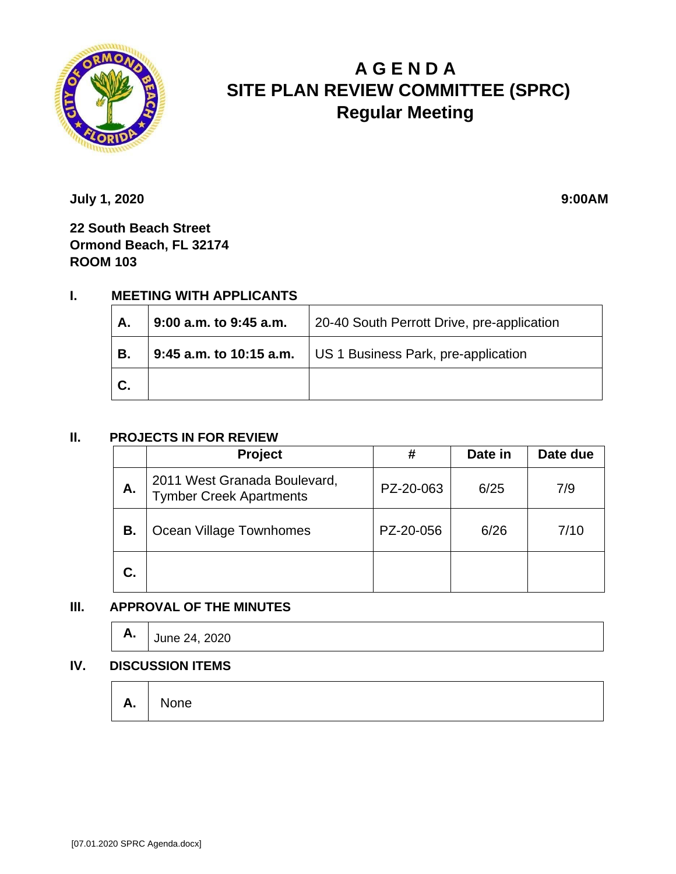

# **A G E N D A SITE PLAN REVIEW COMMITTEE (SPRC) Regular Meeting**

**July 1, 2020 9:00AM** 

**22 South Beach Street Ormond Beach, FL 32174 ROOM 103**

# **I. MEETING WITH APPLICANTS**

| А. | 9:00 a.m. to 9:45 a.m.  | 20-40 South Perrott Drive, pre-application |  |
|----|-------------------------|--------------------------------------------|--|
| В. | 9:45 a.m. to 10:15 a.m. | US 1 Business Park, pre-application        |  |
| С. |                         |                                            |  |

#### **II. PROJECTS IN FOR REVIEW**

|    | Project                                                        | #         | Date in | Date due |
|----|----------------------------------------------------------------|-----------|---------|----------|
| А. | 2011 West Granada Boulevard,<br><b>Tymber Creek Apartments</b> | PZ-20-063 | 6/25    | 7/9      |
| В. | Ocean Village Townhomes                                        | PZ-20-056 | 6/26    | 7/10     |
| C. |                                                                |           |         |          |

## **III. APPROVAL OF THE MINUTES**

|  | <b>A.</b> $\int$ June 24, 2020 |
|--|--------------------------------|
|--|--------------------------------|

#### **IV. DISCUSSION ITEMS**

**A.** None